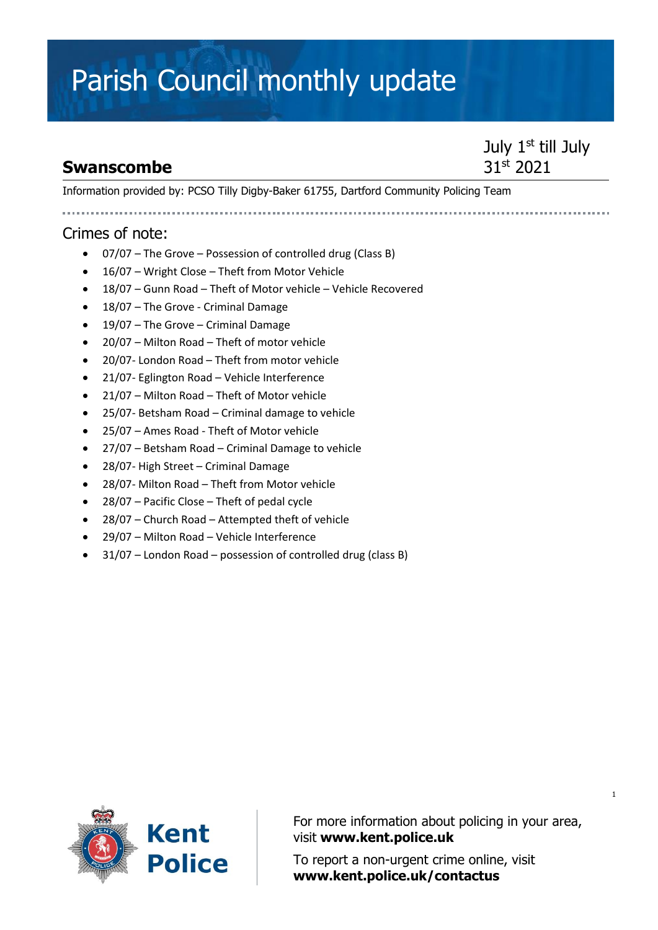## Parish Council monthly update

### **Swanscombe**

July 1<sup>st</sup> till July 31st 2021

Information provided by: PCSO Tilly Digby-Baker 61755, Dartford Community Policing Team

#### Crimes of note:

- 07/07 The Grove Possession of controlled drug (Class B)
- 16/07 Wright Close Theft from Motor Vehicle
- 18/07 Gunn Road Theft of Motor vehicle Vehicle Recovered
- 18/07 The Grove Criminal Damage
- 19/07 The Grove Criminal Damage
- 20/07 Milton Road Theft of motor vehicle
- 20/07- London Road Theft from motor vehicle
- 21/07- Eglington Road Vehicle Interference
- 21/07 Milton Road Theft of Motor vehicle
- 25/07- Betsham Road Criminal damage to vehicle
- 25/07 Ames Road Theft of Motor vehicle
- 27/07 Betsham Road Criminal Damage to vehicle
- 28/07- High Street Criminal Damage
- 28/07- Milton Road Theft from Motor vehicle
- 28/07 Pacific Close Theft of pedal cycle
- 28/07 Church Road Attempted theft of vehicle
- 29/07 Milton Road Vehicle Interference
- 31/07 London Road possession of controlled drug (class B)



For more information about policing in your area, visit **[www.kent.police.uk](http://www.kent.police.uk/)**

To report a non-urgent crime online, visit **www.kent.police.uk/contactus**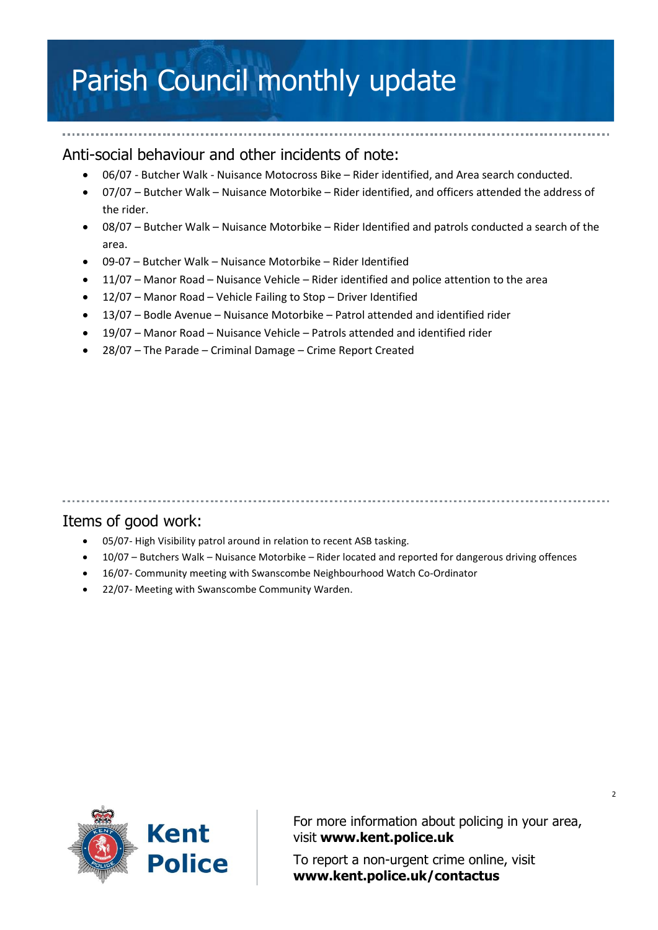## Parish Council monthly update

#### Anti-social behaviour and other incidents of note:

- 06/07 Butcher Walk Nuisance Motocross Bike Rider identified, and Area search conducted.
- 07/07 Butcher Walk Nuisance Motorbike Rider identified, and officers attended the address of the rider.
- 08/07 Butcher Walk Nuisance Motorbike Rider Identified and patrols conducted a search of the area.
- 09-07 Butcher Walk Nuisance Motorbike Rider Identified
- 11/07 Manor Road Nuisance Vehicle Rider identified and police attention to the area
- 12/07 Manor Road Vehicle Failing to Stop Driver Identified
- 13/07 Bodle Avenue Nuisance Motorbike Patrol attended and identified rider
- 19/07 Manor Road Nuisance Vehicle Patrols attended and identified rider
- 28/07 The Parade Criminal Damage Crime Report Created

#### Items of good work:

- 05/07- High Visibility patrol around in relation to recent ASB tasking.
- 10/07 Butchers Walk Nuisance Motorbike Rider located and reported for dangerous driving offences
- 16/07- Community meeting with Swanscombe Neighbourhood Watch Co-Ordinator
- 22/07- Meeting with Swanscombe Community Warden.



For more information about policing in your area, visit **[www.kent.police.uk](http://www.kent.police.uk/)**

To report a non-urgent crime online, visit **www.kent.police.uk/contactus**